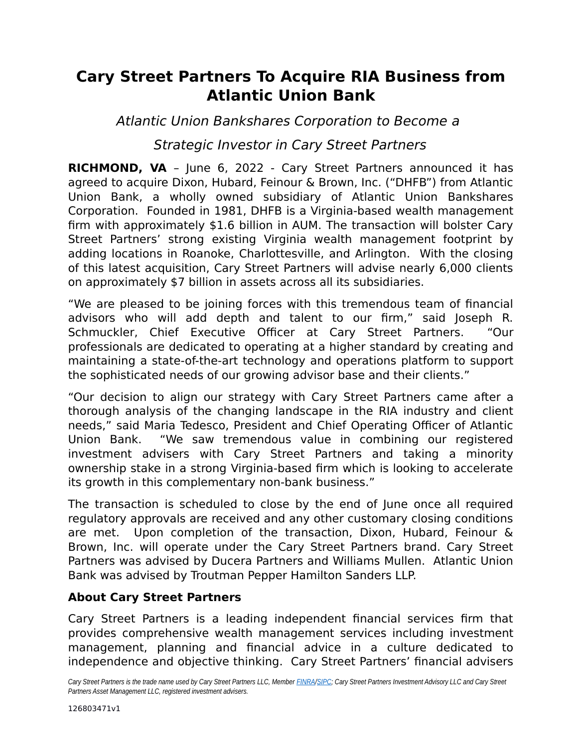# **Cary Street Partners To Acquire RIA Business from Atlantic Union Bank**

Atlantic Union Bankshares Corporation to Become a

## Strategic Investor in Cary Street Partners

**RICHMOND, VA** – June 6, 2022 - Cary Street Partners announced it has agreed to acquire Dixon, Hubard, Feinour & Brown, Inc. ("DHFB") from Atlantic Union Bank, a wholly owned subsidiary of Atlantic Union Bankshares Corporation. Founded in 1981, DHFB is a Virginia-based wealth management firm with approximately \$1.6 billion in AUM. The transaction will bolster Cary Street Partners' strong existing Virginia wealth management footprint by adding locations in Roanoke, Charlottesville, and Arlington. With the closing of this latest acquisition, Cary Street Partners will advise nearly 6,000 clients on approximately \$7 billion in assets across all its subsidiaries.

"We are pleased to be joining forces with this tremendous team of financial advisors who will add depth and talent to our firm," said Joseph R. Schmuckler, Chief Executive Officer at Cary Street Partners. "Our professionals are dedicated to operating at a higher standard by creating and maintaining a state-of-the-art technology and operations platform to support the sophisticated needs of our growing advisor base and their clients."

"Our decision to align our strategy with Cary Street Partners came after a thorough analysis of the changing landscape in the RIA industry and client needs," said Maria Tedesco, President and Chief Operating Officer of Atlantic Union Bank. "We saw tremendous value in combining our registered investment advisers with Cary Street Partners and taking a minority ownership stake in a strong Virginia-based firm which is looking to accelerate its growth in this complementary non-bank business."

The transaction is scheduled to close by the end of June once all required regulatory approvals are received and any other customary closing conditions are met. Upon completion of the transaction, Dixon, Hubard, Feinour & Brown, Inc. will operate under the Cary Street Partners brand. Cary Street Partners was advised by Ducera Partners and Williams Mullen. Atlantic Union Bank was advised by Troutman Pepper Hamilton Sanders LLP.

### **About Cary Street Partners**

Cary Street Partners is a leading independent financial services firm that provides comprehensive wealth management services including investment management, planning and financial advice in a culture dedicated to independence and objective thinking. Cary Street Partners' financial advisers

Cary Street Partners is the trade name used by Cary Street Partners LLC, Member **FINRA/SIPC**; Cary Street Partners Investment Advisory LLC and Cary Street *Partners Asset Management LLC, registered investment advisers.*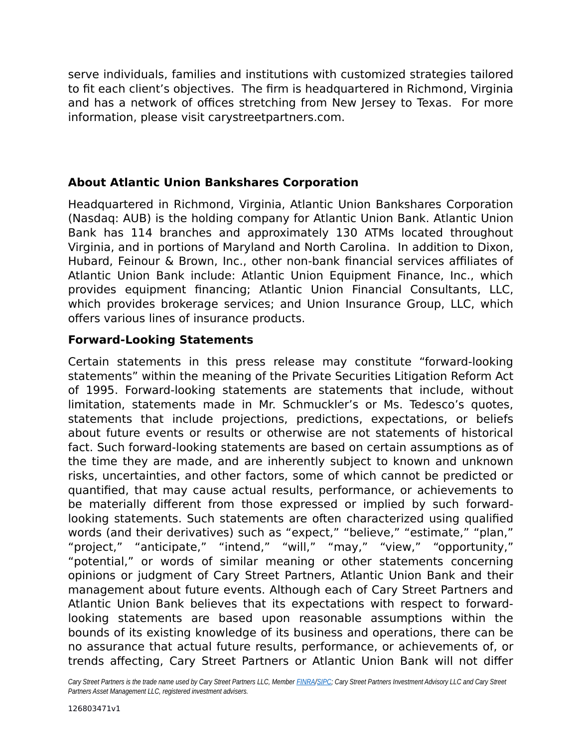serve individuals, families and institutions with customized strategies tailored to fit each client's objectives. The firm is headquartered in Richmond, Virginia and has a network of offices stretching from New Jersey to Texas. For more information, please visit carystreetpartners.com.

#### **About Atlantic Union Bankshares Corporation**

Headquartered in Richmond, Virginia, Atlantic Union Bankshares Corporation (Nasdaq: AUB) is the holding company for Atlantic Union Bank. Atlantic Union Bank has 114 branches and approximately 130 ATMs located throughout Virginia, and in portions of Maryland and North Carolina. In addition to Dixon, Hubard, Feinour & Brown, Inc., other non-bank financial services affiliates of Atlantic Union Bank include: Atlantic Union Equipment Finance, Inc., which provides equipment financing; Atlantic Union Financial Consultants, LLC, which provides brokerage services; and Union Insurance Group, LLC, which offers various lines of insurance products.

#### **Forward-Looking Statements**

Certain statements in this press release may constitute "forward-looking statements" within the meaning of the Private Securities Litigation Reform Act of 1995. Forward-looking statements are statements that include, without limitation, statements made in Mr. Schmuckler's or Ms. Tedesco's quotes, statements that include projections, predictions, expectations, or beliefs about future events or results or otherwise are not statements of historical fact. Such forward-looking statements are based on certain assumptions as of the time they are made, and are inherently subject to known and unknown risks, uncertainties, and other factors, some of which cannot be predicted or quantified, that may cause actual results, performance, or achievements to be materially different from those expressed or implied by such forwardlooking statements. Such statements are often characterized using qualified words (and their derivatives) such as "expect," "believe," "estimate," "plan," "project," "anticipate," "intend," "will," "may," "view," "opportunity," "potential," or words of similar meaning or other statements concerning opinions or judgment of Cary Street Partners, Atlantic Union Bank and their management about future events. Although each of Cary Street Partners and Atlantic Union Bank believes that its expectations with respect to forwardlooking statements are based upon reasonable assumptions within the bounds of its existing knowledge of its business and operations, there can be no assurance that actual future results, performance, or achievements of, or trends affecting, Cary Street Partners or Atlantic Union Bank will not differ

Cary Street Partners is the trade name used by Cary Street Partners LLC, Member **FINRA/SIPC**; Cary Street Partners Investment Advisory LLC and Cary Street *Partners Asset Management LLC, registered investment advisers.*